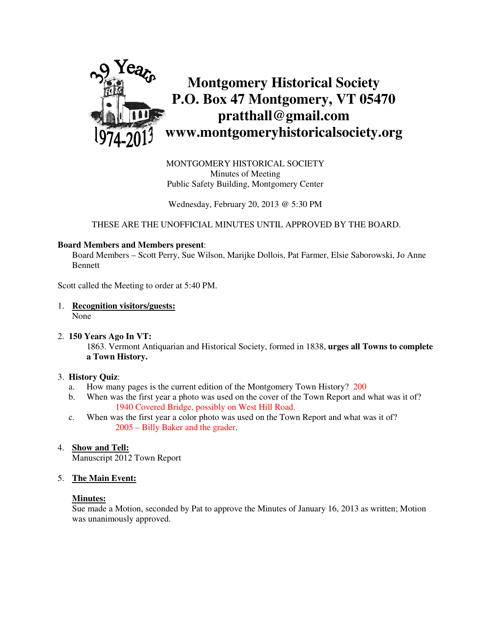

MONTGOMERY HISTORICAL SOCIETY Minutes of Meeting Public Safety Building, Montgomery Center

Wednesday, February 20, 2013 @ 5:30 PM

THESE ARE THE UNOFFICIAL MINUTES UNTIL APPROVED BY THE BOARD.

## **Board Members and Members present**:

Board Members – Scott Perry, Sue Wilson, Marijke Dollois, Pat Farmer, Elsie Saborowski, Jo Anne **Bennett** 

Scott called the Meeting to order at 5:40 PM.

1. **Recognition visitors/guests:** None

## 2. **150 Years Ago In VT:**

1863. Vermont Antiquarian and Historical Society, formed in 1838, **urges all Towns to complete a Town History.**

## 3. **History Quiz**:

- a. How many pages is the current edition of the Montgomery Town History? 200
- b. When was the first year a photo was used on the cover of the Town Report and what was it of? 1940 Covered Bridge, possibly on West Hill Road.
- c. When was the first year a color photo was used on the Town Report and what was it of? 2005 – Billy Baker and the grader.

## 4. **Show and Tell:**

Manuscript 2012 Town Report

## 5. **The Main Event:**

## **Minutes:**

Sue made a Motion, seconded by Pat to approve the Minutes of January 16, 2013 as written; Motion was unanimously approved.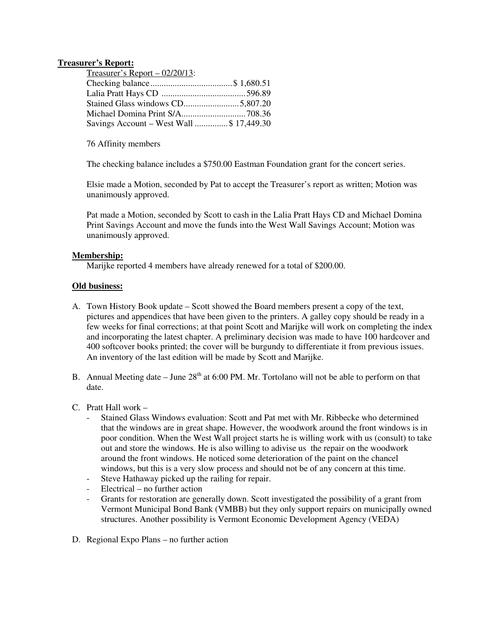## **Treasurer's Report:**

| Treasurer's Report $-02/20/13$ :         |  |
|------------------------------------------|--|
|                                          |  |
|                                          |  |
|                                          |  |
|                                          |  |
| Savings Account – West Wall \$ 17,449.30 |  |

76 Affinity members

The checking balance includes a \$750.00 Eastman Foundation grant for the concert series.

Elsie made a Motion, seconded by Pat to accept the Treasurer's report as written; Motion was unanimously approved.

Pat made a Motion, seconded by Scott to cash in the Lalia Pratt Hays CD and Michael Domina Print Savings Account and move the funds into the West Wall Savings Account; Motion was unanimously approved.

# **Membership:**

Marijke reported 4 members have already renewed for a total of \$200.00.

# **Old business:**

- A. Town History Book update Scott showed the Board members present a copy of the text, pictures and appendices that have been given to the printers. A galley copy should be ready in a few weeks for final corrections; at that point Scott and Marijke will work on completing the index and incorporating the latest chapter. A preliminary decision was made to have 100 hardcover and 400 softcover books printed; the cover will be burgundy to differentiate it from previous issues. An inventory of the last edition will be made by Scott and Marijke.
- B. Annual Meeting date June  $28<sup>th</sup>$  at 6:00 PM. Mr. Tortolano will not be able to perform on that date.
- C. Pratt Hall work
	- Stained Glass Windows evaluation: Scott and Pat met with Mr. Ribbecke who determined that the windows are in great shape. However, the woodwork around the front windows is in poor condition. When the West Wall project starts he is willing work with us (consult) to take out and store the windows. He is also willing to adivise us the repair on the woodwork around the front windows. He noticed some deterioration of the paint on the chancel windows, but this is a very slow process and should not be of any concern at this time.
	- Steve Hathaway picked up the railing for repair.
	- Electrical no further action
	- Grants for restoration are generally down. Scott investigated the possibility of a grant from Vermont Municipal Bond Bank (VMBB) but they only support repairs on municipally owned structures. Another possibility is Vermont Economic Development Agency (VEDA)
- D. Regional Expo Plans no further action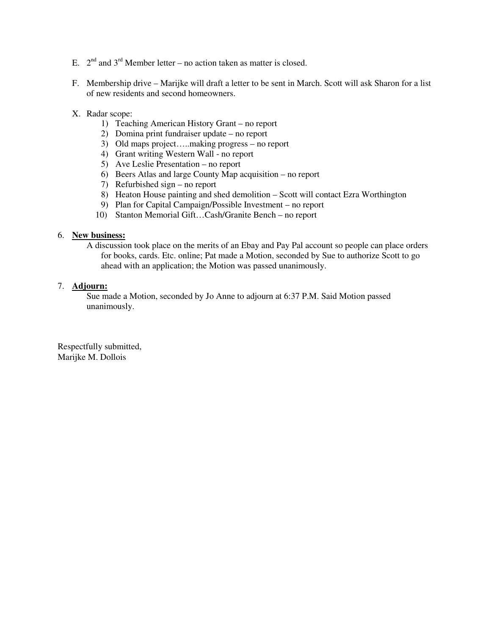- E.  $2<sup>nd</sup>$  and  $3<sup>rd</sup>$  Member letter no action taken as matter is closed.
- F. Membership drive Marijke will draft a letter to be sent in March. Scott will ask Sharon for a list of new residents and second homeowners.
- X. Radar scope:
	- 1) Teaching American History Grant no report
	- 2) Domina print fundraiser update no report
	- 3) Old maps project…..making progress no report
	- 4) Grant writing Western Wall no report
	- 5) Ave Leslie Presentation no report
	- 6) Beers Atlas and large County Map acquisition no report
	- 7) Refurbished sign no report
	- 8) Heaton House painting and shed demolition Scott will contact Ezra Worthington
	- 9) Plan for Capital Campaign/Possible Investment no report
	- 10) Stanton Memorial Gift…Cash/Granite Bench no report

#### 6. **New business:**

A discussion took place on the merits of an Ebay and Pay Pal account so people can place orders for books, cards. Etc. online; Pat made a Motion, seconded by Sue to authorize Scott to go ahead with an application; the Motion was passed unanimously.

#### 7. **Adjourn:**

Sue made a Motion, seconded by Jo Anne to adjourn at 6:37 P.M. Said Motion passed unanimously.

Respectfully submitted, Marijke M. Dollois